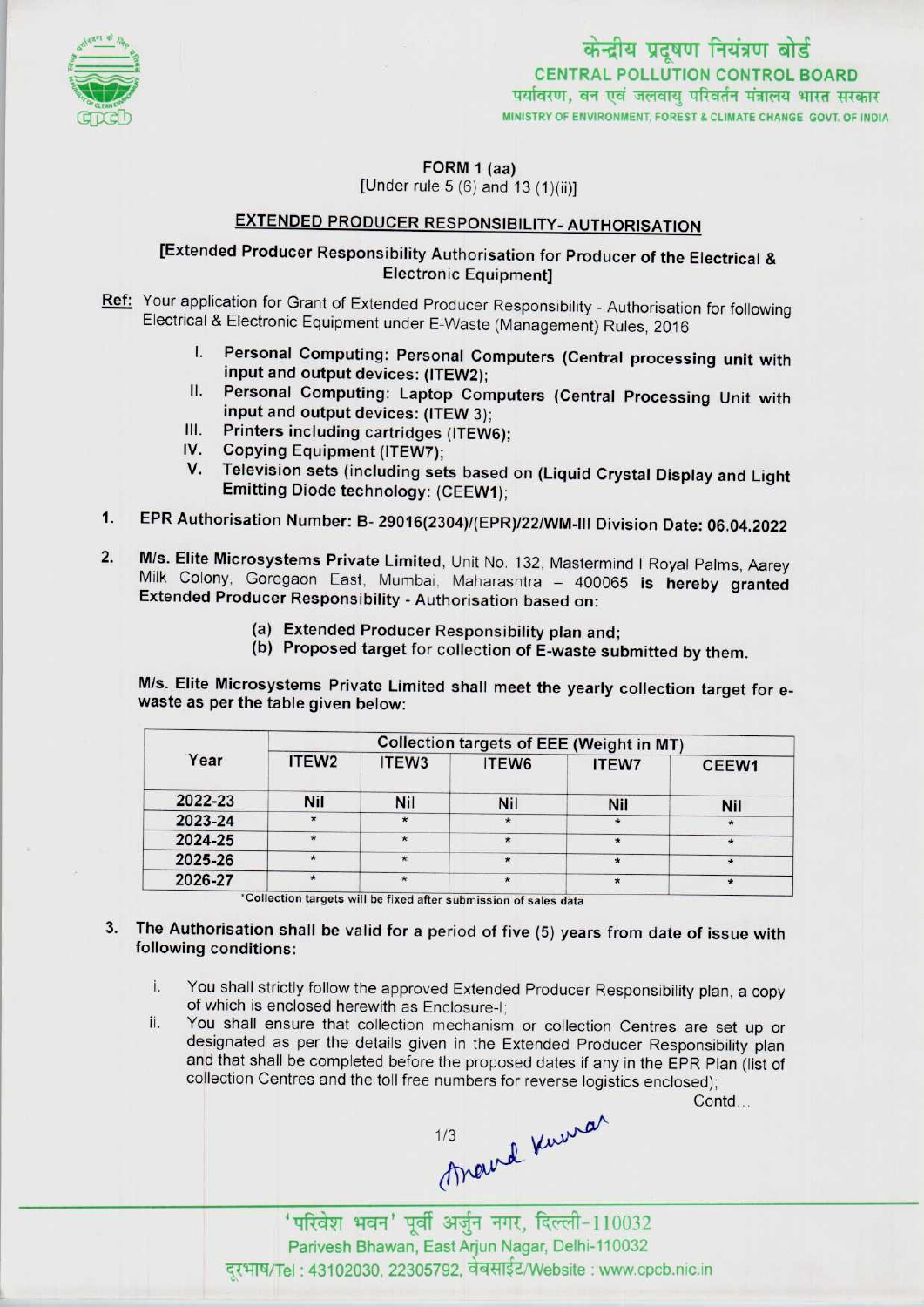

FORM 1 (aa)

[Under rule  $5(6)$  and  $13(1)(ii)$ ]

## EXTENDED PRODUCER RESPONSIBILITY- AUTHORISATION

## [Extended Producer Responsibility Authorisation for Producer of the Electrical & Electronic Equipment]

Ref: Your application for Grant of Extended Producer Responsibility - Authorisation for following Electrical & Electronic Equipment under E-Waste (Management) Rules, 2016

- I. Personal Computing: Personal Computers (Central processing unit with input and output devices: (ITEW2);
- II. Personal Computing: Laptop Computers (Central Processing Unit with in: Fersonal Computing: Laptop Compi<br>
input and output devices: (ITEW 3);<br>
III. Printers including cartridges (ITEW6);<br>
Conving Equipment (ITEWE);
- III. Printers including cartridges (ITEW6);<br>IV. Copying Equipment (ITEW7);<br>V. Television sets (including sets based
- 
- Television sets (including sets based on (Liquid Crystal Display and Light Emitting Diode technology: (CEEW1);
- 1.EPR Authorisation Number: B- 29016(2304)/(EPR)/22/WM-lll Division Date: 06.04.2022
- 2. M/s. Elite Microsystems Private Limited, Unit No. 132, Mastermind I Royal Palms, Aarey Milk Colony, Goregaon East, Mumbai, Maharashtra - 400065 is hereby granted Extended Producer Responsibility - Authorisation based on:
	- (a)Extended Producer Responsibility plan and;
	- (b) Proposed target for collection of E-waste submitted by them.

M/s. Elite Microsystems Private Limited shall meet the yearly collection target for ewaste as per the table given below:

| Year    | <b>Collection targets of EEE (Weight in MT)</b> |                   |                   |         |       |
|---------|-------------------------------------------------|-------------------|-------------------|---------|-------|
|         | ITEW <sub>2</sub>                               | ITEW <sub>3</sub> | ITEW <sub>6</sub> | ITEW7   | CEEW1 |
| 2022-23 | Nil                                             | Nil               | <b>Nil</b>        | Nil     | Nil   |
| 2023-24 |                                                 | $\star$           |                   | $\star$ |       |
| 2024-25 |                                                 | $\star$           |                   |         |       |
| 2025-26 |                                                 |                   | $\star$           |         |       |
| 2026-27 |                                                 |                   | $\star$           |         |       |

\*Collection targets will be fixed after submission of sales data

- 3. The Authorisation shall be valid for a period of five (5) years from date of issue with following conditions:
	- i. You shall strictly follow the approved Extended Producer Responsibility plan, a copy of which is enclosed herewith as Enclosure-I;
	- ii. You shall ensure that collection mechanism or collection Centres are set up or designated as per the details given in the Extended Producer Responsibility plan and that shall be completed before the proposed dates if any in the EPR Plan (list of collection Centres and the toll free numbers for reverse logistics enclosed);

Contd...

 $\alpha$ 1/3

'परिवेश भवन' पूर्वी अर्जुन नगर, दिल्ली-110032 Parivesh Bhawan, East Arjun Nagar, Delhi-110032 दरभाष/Tel : 43102030, 22305792, वेबसाईट/Website : www.cpcb.nic.in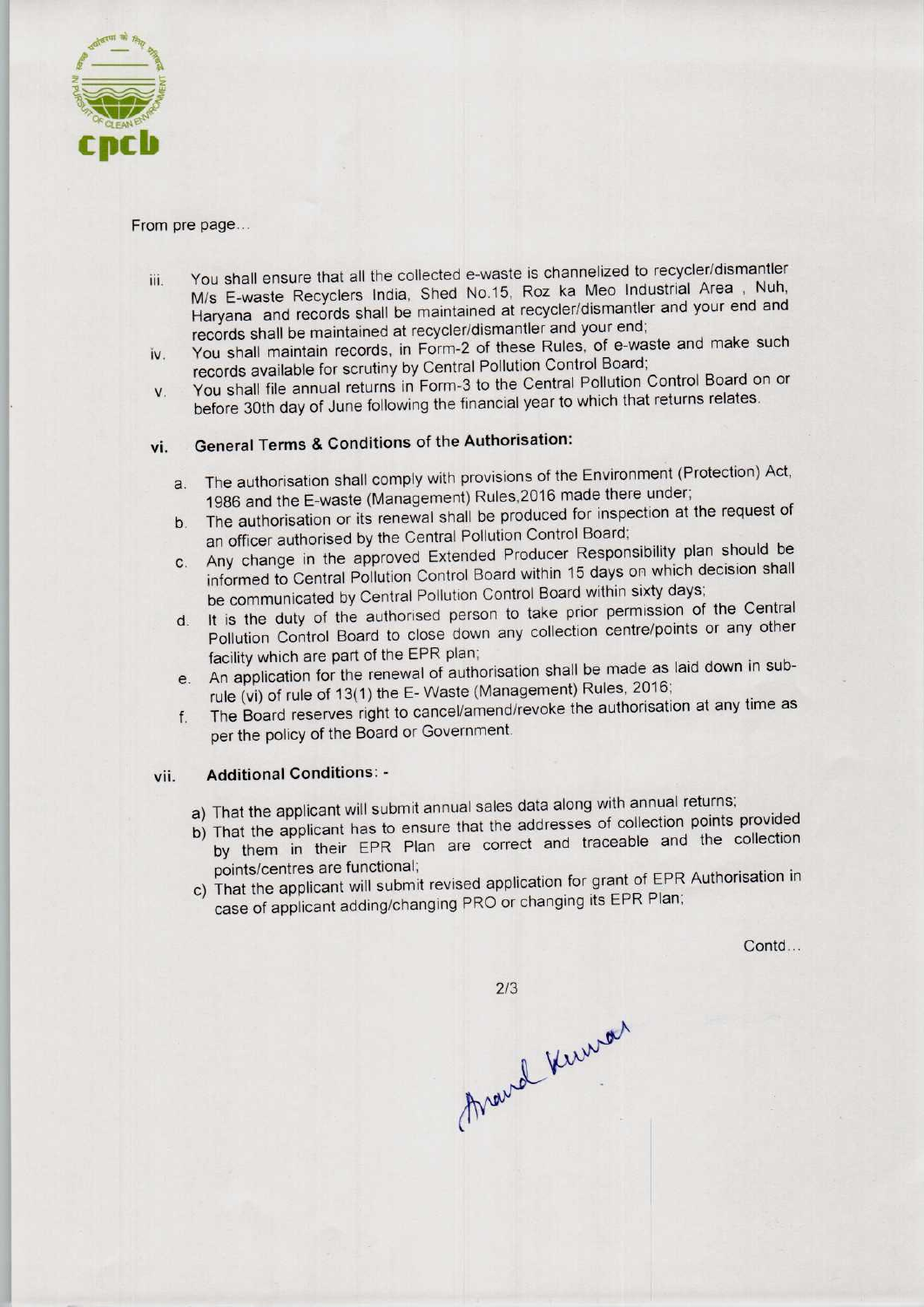

#### From pre page...

- iii. You shall ensure that all the collected e-waste is channelized to recycler/dismantler M/s E-waste Recyclers India, Shed No. 15, Roz ka Meo Industrial Area , Nuh, Haryana and records shall be maintained at recycler/dismantler and your end and records shall be maintained at recycler/dismantler and your end;
- iv. You shall maintain records, in Form-2 of these Rules, of e-waste and make such records available for scrutiny by Central Pollution Control Board;
- v. You shall file annual returns in Form-3 to the Central Pollution Control Board on or before 30th day of June following the financial year to which that returns relates.

# vi. General Terms & Conditions of the Authorisation:

- a. The authorisation shall comply with provisions of the Environment (Protection) Act, 1986 and the E-waste (Management) Rules, 2016 made there under;
- b.The authorisation or its renewal shall be produced for inspection at the request of an officer authorised by the Central Pollution Control Board;
- c.Any change in the approved Extended Producer Responsibility plan should be informed to Central Pollution Control Board within 15 days on which decision shall be communicated by Central Pollution Control Board within sixty days;
- d. It is the duty of the authorised person to take prior permission of the Central Pollution Control Board to close down any collection centre/points or any other facility which are part of the EPR plan;
- e.An application for the renewal of authorisation shall be made as laid down in subrule (vi) of rule of 13(1) the E-Waste (Management) Rules, 2016;
- f. The Board reserves right to cancel/amend/revoke the authorisation at any time as per the policy of the Board or Government.

### vii. Additional Conditions: -

- a) That the applicant will submit annual sales data along with annual returns;
- b) That the applicant has to ensure that the addresses of collection points provided by them in their EPR Plan are correct and traceable and the collection points/centres are functional;
- c) That the applicant will submit revised application for grant of EPR Authorisation in case of applicant adding/changing PRO or changing its EPR Plan;

Contd...

 $2/3$ Arand Kumon